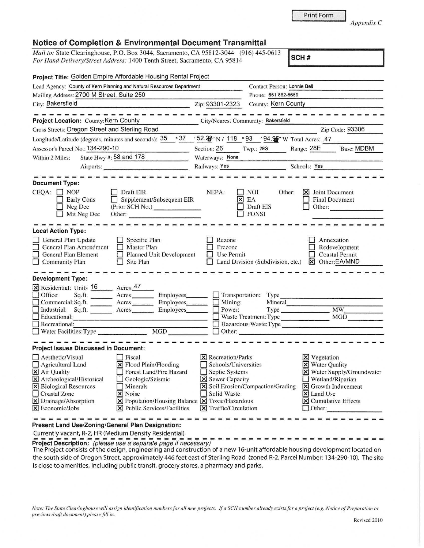| <b>Notice of Completion &amp; Environmental Document Transmittal</b> |  |  |  |
|----------------------------------------------------------------------|--|--|--|
|----------------------------------------------------------------------|--|--|--|

*Mail to: State Clearinghouse, P.O. Box 3044, Sacramento, CA 95812-3044* (916) 445-0613 *For Hand Delivery/Street Address:* 1400 Tenth Street, Sacramento, CA 95814 **SCH # SCH # SCH #** 

|                                                | Project Title: Golden Empire Affordable Housing Rental Project                                                                                                                                                                 |                                     |                                   |                                   |                          |  |
|------------------------------------------------|--------------------------------------------------------------------------------------------------------------------------------------------------------------------------------------------------------------------------------|-------------------------------------|-----------------------------------|-----------------------------------|--------------------------|--|
|                                                | Lead Agency: County of Kern Planning and Natural Resources Department                                                                                                                                                          |                                     |                                   | Contact Person: Lonnie Bell       |                          |  |
| Mailing Address: 2700 M Street, Suite 250      |                                                                                                                                                                                                                                |                                     | Phone: 661 862-8659               |                                   |                          |  |
| City: Bakersfield                              | $\frac{1}{2}$ Zip: 93301-2323                                                                                                                                                                                                  |                                     | County: Kern County               |                                   |                          |  |
|                                                |                                                                                                                                                                                                                                |                                     |                                   |                                   |                          |  |
| Project Location: County: Kern County          |                                                                                                                                                                                                                                | City/Nearest Community: Bakersfield |                                   |                                   |                          |  |
| Cross Streets: Oregon Street and Sterling Road |                                                                                                                                                                                                                                |                                     |                                   |                                   | Zip Code: 93306          |  |
|                                                | Longitude/Latitude (degrees, minutes and seconds): $\frac{35}{25}$ $\frac{37}{25}$ $\frac{52.28}{27}$ N / 118 $\degree$ 93 $\degree$ / 94.95 w Total Acres: .47                                                                |                                     |                                   |                                   |                          |  |
| Assessor's Parcel No.: 134-290-10              |                                                                                                                                                                                                                                | Section: 26                         | Twp.: 29S                         | Range: 28E                        | <b>Base: MDBM</b>        |  |
| State Hwy #: 58 and 178<br>Within 2 Miles:     |                                                                                                                                                                                                                                | Waterways: None                     |                                   |                                   |                          |  |
| Airports:                                      |                                                                                                                                                                                                                                | Railways: Yes                       |                                   | Schools: Yes                      |                          |  |
| <b>Document Type:</b>                          |                                                                                                                                                                                                                                |                                     |                                   |                                   |                          |  |
|                                                |                                                                                                                                                                                                                                |                                     |                                   |                                   |                          |  |
| $CEQA: \Box NP$<br>Early Cons                  | Draft EIR<br>Supplement/Subsequent EIR                                                                                                                                                                                         | NEPA:                               | I NOI<br>$\times$ EA              | <b>X</b> Joint Document<br>Other: | <b>Final Document</b>    |  |
| Neg Dec                                        | $\perp$<br>(Prior SCH No.)                                                                                                                                                                                                     |                                     | Draft EIS                         | Other:                            |                          |  |
| Mit Neg Dec                                    | Other: We have a state of the state of the state of the state of the state of the state of the state of the state of the state of the state of the state of the state of the state of the state of the state of the state of t |                                     | <b>FONSI</b>                      |                                   |                          |  |
|                                                |                                                                                                                                                                                                                                |                                     |                                   |                                   |                          |  |
| <b>Local Action Type:</b>                      |                                                                                                                                                                                                                                |                                     |                                   |                                   |                          |  |
| General Plan Update                            | $\Box$ Specific Plan                                                                                                                                                                                                           | Rezone                              |                                   |                                   | Annexation               |  |
| General Plan Amendment                         | $\Box$ Master Plan                                                                                                                                                                                                             | Prezone                             |                                   |                                   | Redevelopment            |  |
| General Plan Element                           | Planned Unit Development<br>$\Box$                                                                                                                                                                                             | Use Permit                          |                                   |                                   | <b>Coastal Permit</b>    |  |
| $\Box$ Community Plan                          | $\Box$ Site Plan                                                                                                                                                                                                               |                                     | Land Division (Subdivision, etc.) |                                   | X Other:EA/MND           |  |
|                                                |                                                                                                                                                                                                                                |                                     |                                   |                                   |                          |  |
| <b>Development Type:</b>                       |                                                                                                                                                                                                                                |                                     |                                   |                                   |                          |  |
| <b>X</b> Residential: Units 16 Acres 47        |                                                                                                                                                                                                                                |                                     |                                   |                                   |                          |  |
|                                                | Office: Sq.ft. Acres Employees                                                                                                                                                                                                 |                                     | Transportation: Type              |                                   |                          |  |
|                                                |                                                                                                                                                                                                                                | $\Box$ Mining:<br>Mineral           |                                   |                                   |                          |  |
| $\Box$ Industrial:                             | Sq.ft. <u>Acres</u><br>Employees________                                                                                                                                                                                       | Type MW_<br>$\Box$ Power:           |                                   |                                   |                          |  |
| $\Box$ Educational:                            | <u> Alexandro Alexandro Alexandro Alexandro Alexandro Alexandro Alexandro Alexandro Alexandro Alexandro Alexandro </u>                                                                                                         | Waste Treatment: Type MGD           |                                   |                                   |                          |  |
| $\Box$ Recreational:                           |                                                                                                                                                                                                                                | Hazardous Waste: Type               |                                   |                                   |                          |  |
|                                                |                                                                                                                                                                                                                                | $\Box$ Other:                       |                                   |                                   |                          |  |
| Project Issues Discussed in Document:          |                                                                                                                                                                                                                                |                                     |                                   |                                   |                          |  |
| $\Box$ Aesthetic/Visual                        | $\Box$ Fiscal                                                                                                                                                                                                                  | $\vert$ <b>X</b> Recreation/Parks   |                                   | <b>X</b> Vegetation               |                          |  |
| $\Box$ Agricultural Land                       | <b>⊠</b> Flood Plain/Flooding                                                                                                                                                                                                  | Schools/Universities                |                                   |                                   | X Water Quality          |  |
| X Air Quality                                  | Forest Land/Fire Hazard                                                                                                                                                                                                        |                                     | Septic Systems                    |                                   | Water Supply/Groundwater |  |
| X Archeological/Historical                     | Geologic/Seismic                                                                                                                                                                                                               |                                     | <b>X</b> Sewer Capacity           |                                   | Wetland/Riparian         |  |
| <b>X</b> Biological Resources<br>    Minerals  |                                                                                                                                                                                                                                | Soil Erosion/Compaction/Grading     |                                   |                                   | S Growth Inducement      |  |
| Coastal Zone                                   | $\vert \mathsf{x} \vert$ Noise                                                                                                                                                                                                 | Solid Waste                         |                                   | $\vert \mathsf{x} \vert$ Land Use |                          |  |
| X Drainage/Absorption                          | $\boxtimes$ Population/Housing Balance $\boxtimes$ Toxic/Hazardous                                                                                                                                                             |                                     |                                   |                                   | X Cumulative Effects     |  |
| $\times$ Economic/Jobs                         | $\boxed{\mathsf{X}}$ Public Services/Facilities                                                                                                                                                                                | $\boxtimes$ Traffic/Circulation     |                                   | $\Box$ Other:                     |                          |  |

**Present Land Use/Zoning/General Plan Designation:** 

Currently vacant, R-2, HR (Medium Density Residential)

Currently vacant, R-2, HR (Medium Density Residential)<br> **Project Description:** (please use a separate page if necessary)<br>
The Project consists of the design, engineering and construction of a new 16-unit affordable housin the south side of Oregon Street, approximately 446 feet east of Sterling Road (zoned R-2, Parcel Number: 134-290-10). The site is close to amenities, including public transit, grocery stores, a pharmacy and parks.

*Note: The State Clearinghouse will assign identification numbers for all new projects. If a SCH number already exists for a project (e.g. Notice of Preparation or previous draft document) please fill in.*  Revised 2010

*Appendix* C

Print Form